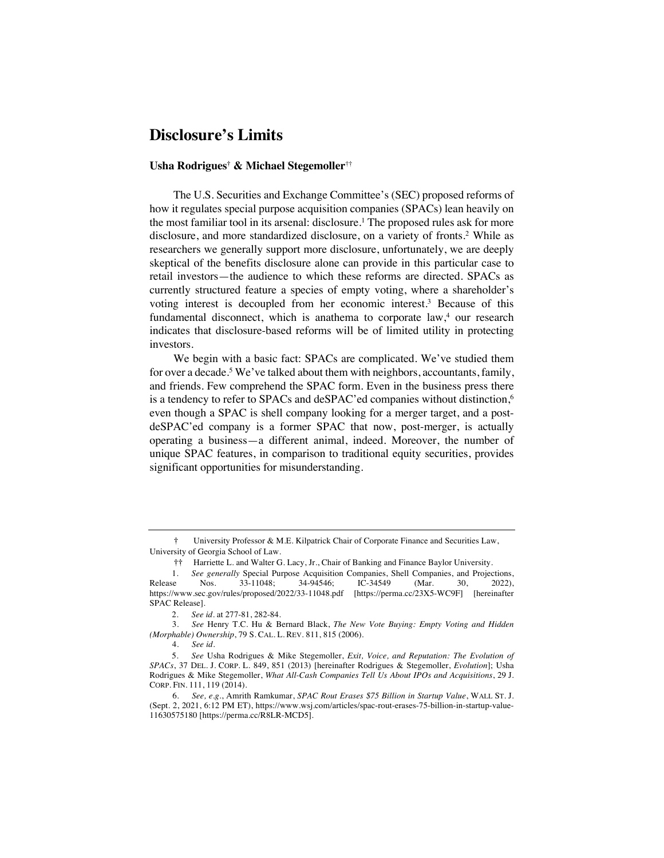## **Disclosure's Limits**

## **Usha Rodrigues† & Michael Stegemoller**††

The U.S. Securities and Exchange Committee's (SEC) proposed reforms of how it regulates special purpose acquisition companies (SPACs) lean heavily on the most familiar tool in its arsenal: disclosure.1 The proposed rules ask for more disclosure, and more standardized disclosure, on a variety of fronts.2 While as researchers we generally support more disclosure, unfortunately, we are deeply skeptical of the benefits disclosure alone can provide in this particular case to retail investors—the audience to which these reforms are directed. SPACs as currently structured feature a species of empty voting, where a shareholder's voting interest is decoupled from her economic interest.3 Because of this fundamental disconnect, which is anathema to corporate  $law<sub>+</sub><sup>4</sup>$  our research indicates that disclosure-based reforms will be of limited utility in protecting investors.

We begin with a basic fact: SPACs are complicated. We've studied them for over a decade.<sup>5</sup> We've talked about them with neighbors, accountants, family, and friends. Few comprehend the SPAC form. Even in the business press there is a tendency to refer to SPACs and deSPAC'ed companies without distinction, 6 even though a SPAC is shell company looking for a merger target, and a postdeSPAC'ed company is a former SPAC that now, post-merger, is actually operating a business—a different animal, indeed. Moreover, the number of unique SPAC features, in comparison to traditional equity securities, provides significant opportunities for misunderstanding.

**<sup>†</sup>** University Professor & M.E. Kilpatrick Chair of Corporate Finance and Securities Law, University of Georgia School of Law.

**<sup>††</sup>** Harriette L. and Walter G. Lacy, Jr., Chair of Banking and Finance Baylor University.

<sup>1.</sup> *See generally* Special Purpose Acquisition Companies, Shell Companies, and Projections,<br>Release Nos. 33-11048; 34-94546; IC-34549 (Mar. 30, 2022), Release Nos. 33-11048; 34-94546; IC-34549 (Mar. 30, 2022), https://www.sec.gov/rules/proposed/2022/33-11048.pdf [https://perma.cc/23X5-WC9F] [hereinafter SPAC Release].

<sup>2.</sup> *See id.* at 277-81, 282-84.

<sup>3.</sup> *See* Henry T.C. Hu & Bernard Black, *The New Vote Buying: Empty Voting and Hidden (Morphable) Ownership*, 79 S. CAL. L. REV. 811, 815 (2006).

<sup>4.</sup> *See id.*

<sup>5.</sup> *See* Usha Rodrigues & Mike Stegemoller, *Exit, Voice, and Reputation: The Evolution of SPACs*, 37 DEL. J. CORP. L. 849, 851 (2013) [hereinafter Rodrigues & Stegemoller, *Evolution*]; Usha Rodrigues & Mike Stegemoller, *What All-Cash Companies Tell Us About IPOs and Acquisitions*, 29 J. CORP. FIN. 111, 119 (2014).

<sup>6.</sup> *See, e.g.*, Amrith Ramkumar, *SPAC Rout Erases \$75 Billion in Startup Value*, WALL ST. J. (Sept. 2, 2021, 6:12 PM ET), https://www.wsj.com/articles/spac-rout-erases-75-billion-in-startup-value-11630575180 [https://perma.cc/R8LR-MCD5].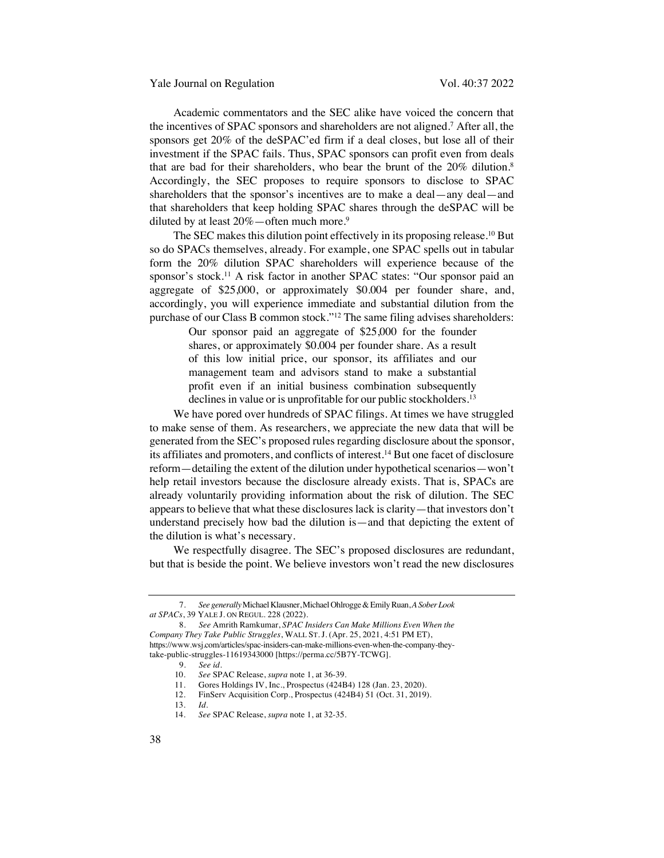Academic commentators and the SEC alike have voiced the concern that the incentives of SPAC sponsors and shareholders are not aligned.7 After all, the sponsors get 20% of the deSPAC'ed firm if a deal closes, but lose all of their investment if the SPAC fails. Thus, SPAC sponsors can profit even from deals that are bad for their shareholders, who bear the brunt of the 20% dilution.<sup>8</sup> Accordingly, the SEC proposes to require sponsors to disclose to SPAC shareholders that the sponsor's incentives are to make a deal—any deal—and that shareholders that keep holding SPAC shares through the deSPAC will be diluted by at least  $20\%$  — often much more.<sup>9</sup>

The SEC makes this dilution point effectively in its proposing release.<sup>10</sup> But so do SPACs themselves, already. For example, one SPAC spells out in tabular form the 20% dilution SPAC shareholders will experience because of the sponsor's stock.11 A risk factor in another SPAC states: "Our sponsor paid an aggregate of \$25,000, or approximately \$0.004 per founder share, and, accordingly, you will experience immediate and substantial dilution from the purchase of our Class B common stock."12 The same filing advises shareholders:

> Our sponsor paid an aggregate of \$25,000 for the founder shares, or approximately \$0.004 per founder share. As a result of this low initial price, our sponsor, its affiliates and our management team and advisors stand to make a substantial profit even if an initial business combination subsequently declines in value or is unprofitable for our public stockholders.<sup>13</sup>

We have pored over hundreds of SPAC filings. At times we have struggled to make sense of them. As researchers, we appreciate the new data that will be generated from the SEC's proposed rules regarding disclosure about the sponsor, its affiliates and promoters, and conflicts of interest.14 But one facet of disclosure reform—detailing the extent of the dilution under hypothetical scenarios—won't help retail investors because the disclosure already exists. That is, SPACs are already voluntarily providing information about the risk of dilution. The SEC appears to believe that what these disclosures lack is clarity—that investors don't understand precisely how bad the dilution is—and that depicting the extent of the dilution is what's necessary.

We respectfully disagree. The SEC's proposed disclosures are redundant, but that is beside the point. We believe investors won't read the new disclosures

<sup>7.</sup> *See generally*Michael Klausner, Michael Ohlrogge & Emily Ruan, *A Sober Look at SPACs*, 39 YALE J. ON REGUL. 228 (2022).

<sup>8.</sup> *See* Amrith Ramkumar, *SPAC Insiders Can Make Millions Even When the Company They Take Public Struggles*, WALL ST. J. (Apr. 25, 2021, 4:51 PM ET), https://www.wsj.com/articles/spac-insiders-can-make-millions-even-when-the-company-theytake-public-struggles-11619343000 [https://perma.cc/5B7Y-TCWG].

<sup>9.</sup> *See id.*

See SPAC Release, *supra* note 1, at 36-39.

<sup>11.</sup> Gores Holdings IV, Inc., Prospectus (424B4) 128 (Jan. 23, 2020).<br>12. FinServ Acquisition Corp., Prospectus (424B4) 51 (Oct. 31, 2019)

FinServ Acquisition Corp., Prospectus (424B4) 51 (Oct. 31, 2019).

<sup>13.</sup> *Id*.

<sup>14.</sup> *See* SPAC Release, *supra* note 1, at 32-35.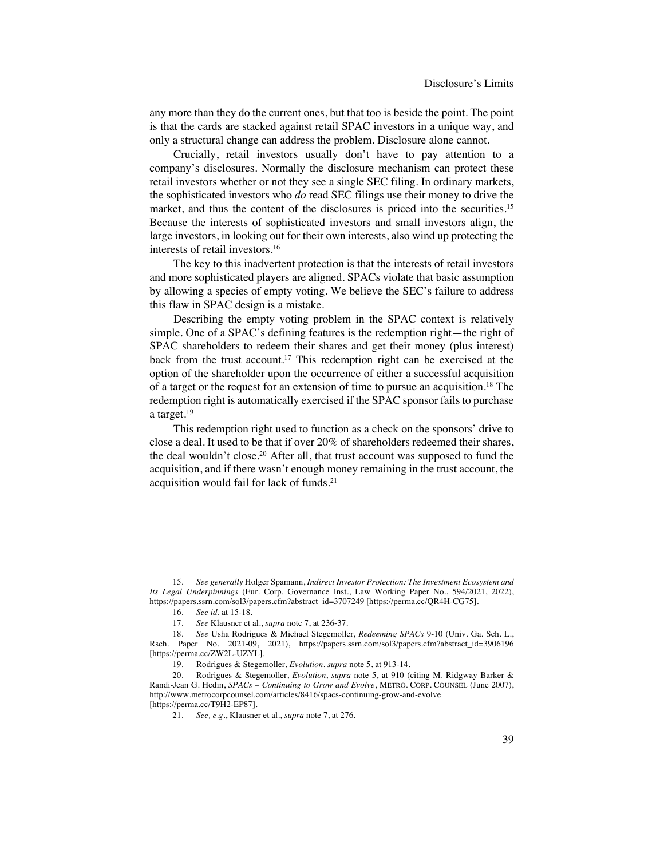any more than they do the current ones, but that too is beside the point. The point is that the cards are stacked against retail SPAC investors in a unique way, and only a structural change can address the problem. Disclosure alone cannot.

Crucially, retail investors usually don't have to pay attention to a company's disclosures. Normally the disclosure mechanism can protect these retail investors whether or not they see a single SEC filing. In ordinary markets, the sophisticated investors who *do* read SEC filings use their money to drive the market, and thus the content of the disclosures is priced into the securities.<sup>15</sup> Because the interests of sophisticated investors and small investors align, the large investors, in looking out for their own interests, also wind up protecting the interests of retail investors.16

The key to this inadvertent protection is that the interests of retail investors and more sophisticated players are aligned. SPACs violate that basic assumption by allowing a species of empty voting. We believe the SEC's failure to address this flaw in SPAC design is a mistake.

Describing the empty voting problem in the SPAC context is relatively simple. One of a SPAC's defining features is the redemption right—the right of SPAC shareholders to redeem their shares and get their money (plus interest) back from the trust account.17 This redemption right can be exercised at the option of the shareholder upon the occurrence of either a successful acquisition of a target or the request for an extension of time to pursue an acquisition.18 The redemption right is automatically exercised if the SPAC sponsor fails to purchase a target.19

This redemption right used to function as a check on the sponsors' drive to close a deal. It used to be that if over 20% of shareholders redeemed their shares, the deal wouldn't close.20 After all, that trust account was supposed to fund the acquisition, and if there wasn't enough money remaining in the trust account, the acquisition would fail for lack of funds.21

<sup>15.</sup> *See generally* Holger Spamann, *Indirect Investor Protection: The Investment Ecosystem and Its Legal Underpinnings* (Eur. Corp. Governance Inst., Law Working Paper No., 594/2021, 2022), https://papers.ssrn.com/sol3/papers.cfm?abstract\_id=3707249 [https://perma.cc/QR4H-CG75].

<sup>16.</sup> *See id*. at 15-18.

<sup>17.</sup> *See* Klausner et al., *supra* note 7, at 236-37.

<sup>18.</sup> *See* Usha Rodrigues & Michael Stegemoller, *Redeeming SPACs* 9-10 (Univ. Ga. Sch. L., Rsch. Paper No. 2021-09, 2021), https://papers.ssrn.com/sol3/papers.cfm?abstract\_id=3906196 [https://perma.cc/ZW2L-UZYL].

<sup>19.</sup> Rodrigues & Stegemoller, *Evolution*, *supra* note 5, at 913-14.

<sup>20.</sup> Rodrigues & Stegemoller, *Evolution*, *supra* note 5, at 910 (citing M. Ridgway Barker & Randi-Jean G. Hedin, *SPACs – Continuing to Grow and Evolve*, METRO. CORP. COUNSEL (June 2007), http://www.metrocorpcounsel.com/articles/8416/spacs-continuing-grow-and-evolve [https://perma.cc/T9H2-EP87].

<sup>21.</sup> *See, e.g.*, Klausner et al., *supra* note 7, at 276.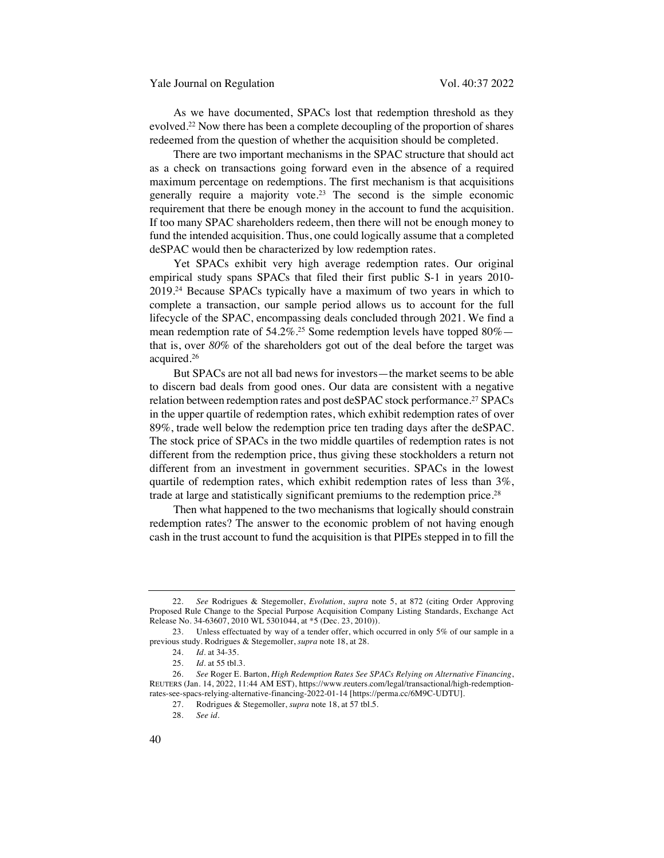As we have documented, SPACs lost that redemption threshold as they evolved.22 Now there has been a complete decoupling of the proportion of shares redeemed from the question of whether the acquisition should be completed.

There are two important mechanisms in the SPAC structure that should act as a check on transactions going forward even in the absence of a required maximum percentage on redemptions. The first mechanism is that acquisitions generally require a majority vote.<sup>23</sup> The second is the simple economic requirement that there be enough money in the account to fund the acquisition. If too many SPAC shareholders redeem, then there will not be enough money to fund the intended acquisition. Thus, one could logically assume that a completed deSPAC would then be characterized by low redemption rates.

Yet SPACs exhibit very high average redemption rates. Our original empirical study spans SPACs that filed their first public S-1 in years 2010- 2019.24 Because SPACs typically have a maximum of two years in which to complete a transaction, our sample period allows us to account for the full lifecycle of the SPAC, encompassing deals concluded through 2021. We find a mean redemption rate of 54.2%.<sup>25</sup> Some redemption levels have topped  $80\%$  that is, over *80%* of the shareholders got out of the deal before the target was acquired.26

But SPACs are not all bad news for investors—the market seems to be able to discern bad deals from good ones. Our data are consistent with a negative relation between redemption rates and post deSPAC stock performance.27 SPACs in the upper quartile of redemption rates, which exhibit redemption rates of over 89%, trade well below the redemption price ten trading days after the deSPAC. The stock price of SPACs in the two middle quartiles of redemption rates is not different from the redemption price, thus giving these stockholders a return not different from an investment in government securities. SPACs in the lowest quartile of redemption rates, which exhibit redemption rates of less than 3%, trade at large and statistically significant premiums to the redemption price. 28

Then what happened to the two mechanisms that logically should constrain redemption rates? The answer to the economic problem of not having enough cash in the trust account to fund the acquisition is that PIPEs stepped in to fill the

28. *See id*.

<sup>22.</sup> *See* Rodrigues & Stegemoller, *Evolution*, *supra* note 5, at 872 (citing Order Approving Proposed Rule Change to the Special Purpose Acquisition Company Listing Standards, Exchange Act Release No. 34-63607, 2010 WL 5301044, at \*5 (Dec. 23, 2010)).

<sup>23.</sup> Unless effectuated by way of a tender offer, which occurred in only 5% of our sample in a previous study. Rodrigues & Stegemoller, *supra* note 18, at 28.

<sup>24.</sup> *Id.* at 34-35.

<sup>25.</sup> *Id*. at 55 tbl.3.

<sup>26.</sup> *See* Roger E. Barton, *High Redemption Rates See SPACs Relying on Alternative Financing*, REUTERS (Jan. 14, 2022, 11:44 AM EST), https://www.reuters.com/legal/transactional/high-redemptionrates-see-spacs-relying-alternative-financing-2022-01-14 [https://perma.cc/6M9C-UDTU].

<sup>27.</sup> Rodrigues & Stegemoller, *supra* note 18, at 57 tbl.5.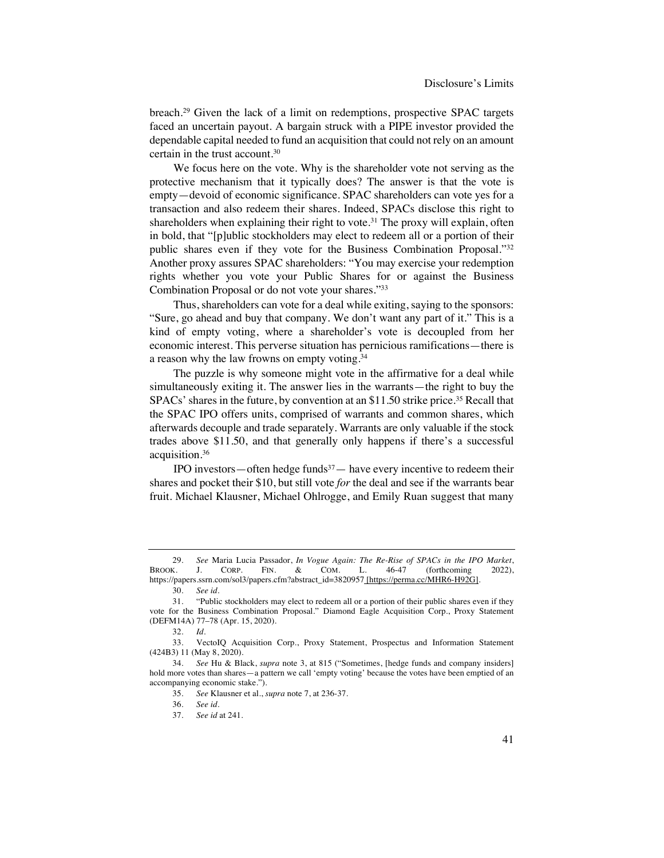breach.29 Given the lack of a limit on redemptions, prospective SPAC targets faced an uncertain payout. A bargain struck with a PIPE investor provided the dependable capital needed to fund an acquisition that could not rely on an amount certain in the trust account.30

We focus here on the vote. Why is the shareholder vote not serving as the protective mechanism that it typically does? The answer is that the vote is empty—devoid of economic significance. SPAC shareholders can vote yes for a transaction and also redeem their shares. Indeed, SPACs disclose this right to shareholders when explaining their right to vote.<sup>31</sup> The proxy will explain, often in bold, that "[p]ublic stockholders may elect to redeem all or a portion of their public shares even if they vote for the Business Combination Proposal."32 Another proxy assures SPAC shareholders: "You may exercise your redemption rights whether you vote your Public Shares for or against the Business Combination Proposal or do not vote your shares."33

Thus, shareholders can vote for a deal while exiting, saying to the sponsors: "Sure, go ahead and buy that company. We don't want any part of it." This is a kind of empty voting, where a shareholder's vote is decoupled from her economic interest. This perverse situation has pernicious ramifications—there is a reason why the law frowns on empty voting.34

The puzzle is why someone might vote in the affirmative for a deal while simultaneously exiting it. The answer lies in the warrants—the right to buy the SPACs' shares in the future, by convention at an \$11.50 strike price.<sup>35</sup> Recall that the SPAC IPO offers units, comprised of warrants and common shares, which afterwards decouple and trade separately. Warrants are only valuable if the stock trades above \$11.50, and that generally only happens if there's a successful acquisition.36

IPO investors—often hedge funds $37$ — have every incentive to redeem their shares and pocket their \$10, but still vote *for* the deal and see if the warrants bear fruit. Michael Klausner, Michael Ohlrogge, and Emily Ruan suggest that many

<sup>29.</sup> *See* Maria Lucia Passador, *In Vogue Again: The Re-Rise of SPACs in the IPO Market*,  $B = \text{CORP}$  FIN.  $\& \text{COM} = L = 46-47$  (forthcoming 2022) https://papers.ssrn.com/sol3/papers.cfm?abstract\_id=3820957 [https://perma.cc/MHR6-H92G].

<sup>30.</sup> *See id.*

<sup>31.</sup> "Public stockholders may elect to redeem all or a portion of their public shares even if they vote for the Business Combination Proposal." Diamond Eagle Acquisition Corp., Proxy Statement (DEFM14A) 77–78 (Apr. 15, 2020).

<sup>32.</sup> *Id*.

<sup>33.</sup> VectoIQ Acquisition Corp., Proxy Statement, Prospectus and Information Statement (424B3) 11 (May 8, 2020).

<sup>34.</sup> *See* Hu & Black, *supra* note 3, at 815 ("Sometimes, [hedge funds and company insiders] hold more votes than shares—a pattern we call 'empty voting' because the votes have been emptied of an accompanying economic stake.").

<sup>35.</sup> *See* Klausner et al., *supra* note 7, at 236-37.

<sup>36.</sup> *See id*.

<sup>37.</sup> *See id* at 241.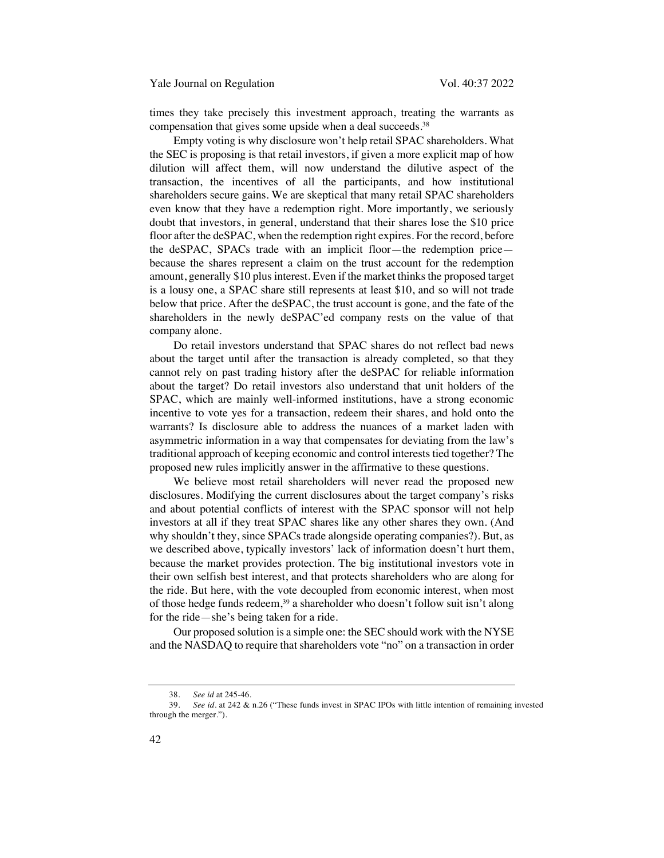times they take precisely this investment approach, treating the warrants as compensation that gives some upside when a deal succeeds.<sup>38</sup>

Empty voting is why disclosure won't help retail SPAC shareholders. What the SEC is proposing is that retail investors, if given a more explicit map of how dilution will affect them, will now understand the dilutive aspect of the transaction, the incentives of all the participants, and how institutional shareholders secure gains. We are skeptical that many retail SPAC shareholders even know that they have a redemption right. More importantly, we seriously doubt that investors, in general, understand that their shares lose the \$10 price floor after the deSPAC, when the redemption right expires. For the record, before the deSPAC, SPACs trade with an implicit floor—the redemption price because the shares represent a claim on the trust account for the redemption amount, generally \$10 plus interest. Even if the market thinks the proposed target is a lousy one, a SPAC share still represents at least \$10, and so will not trade below that price. After the deSPAC, the trust account is gone, and the fate of the shareholders in the newly deSPAC'ed company rests on the value of that company alone.

Do retail investors understand that SPAC shares do not reflect bad news about the target until after the transaction is already completed, so that they cannot rely on past trading history after the deSPAC for reliable information about the target? Do retail investors also understand that unit holders of the SPAC, which are mainly well-informed institutions, have a strong economic incentive to vote yes for a transaction, redeem their shares, and hold onto the warrants? Is disclosure able to address the nuances of a market laden with asymmetric information in a way that compensates for deviating from the law's traditional approach of keeping economic and control interests tied together? The proposed new rules implicitly answer in the affirmative to these questions.

We believe most retail shareholders will never read the proposed new disclosures. Modifying the current disclosures about the target company's risks and about potential conflicts of interest with the SPAC sponsor will not help investors at all if they treat SPAC shares like any other shares they own. (And why shouldn't they, since SPACs trade alongside operating companies?). But, as we described above, typically investors' lack of information doesn't hurt them, because the market provides protection. The big institutional investors vote in their own selfish best interest, and that protects shareholders who are along for the ride. But here, with the vote decoupled from economic interest, when most of those hedge funds redeem,<sup>39</sup> a shareholder who doesn't follow suit isn't along for the ride—she's being taken for a ride.

Our proposed solution is a simple one: the SEC should work with the NYSE and the NASDAQ to require that shareholders vote "no" on a transaction in order

 <sup>38.</sup> *See id* at 245-46.

 <sup>39.</sup> *See id.* at 242 & n.26 ("These funds invest in SPAC IPOs with little intention of remaining invested through the merger.").